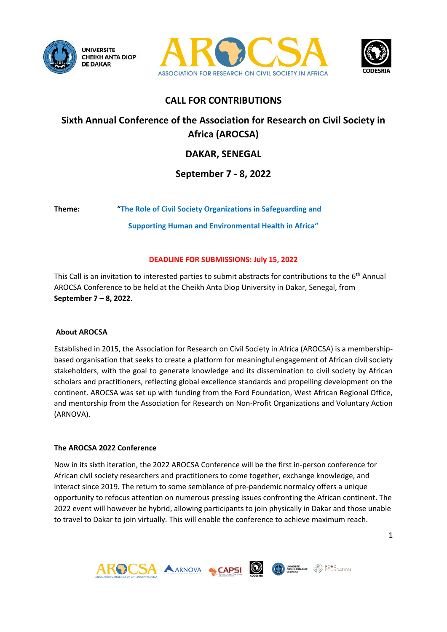





## **CALL FOR CONTRIBUTIONS**

# **Sixth Annual Conference of the Association for Research on Civil Society in Africa (AROCSA)**

## **DAKAR, SENEGAL**

## **September 7 - 8, 2022**

**Theme: "The Role of Civil Society Organizations in Safeguarding and** 

**Supporting Human and Environmental Health in Africa"**

## **DEADLINE FOR SUBMISSIONS: July 15, 2022**

This Call is an invitation to interested parties to submit abstracts for contributions to the 6th Annual AROCSA Conference to be held at the Cheikh Anta Diop University in Dakar, Senegal, from **September 7 – 8, 2022**.

#### **About AROCSA**

Established in 2015, the Association for Research on Civil Society in Africa (AROCSA) is a membershipbased organisation that seeks to create a platform for meaningful engagement of African civil society stakeholders, with the goal to generate knowledge and its dissemination to civil society by African scholars and practitioners, reflecting global excellence standards and propelling development on the continent. AROCSA was set up with funding from the Ford Foundation, West African Regional Office, and mentorship from the Association for Research on Non-Profit Organizations and Voluntary Action (ARNOVA).

## **The AROCSA 2022 Conference**

Now in its sixth iteration, the 2022 AROCSA Conference will be the first in-person conference for African civil society researchers and practitioners to come together, exchange knowledge, and interact since 2019. The return to some semblance of pre-pandemic normalcy offers a unique opportunity to refocus attention on numerous pressing issues confronting the African continent. The 2022 event will however be hybrid, allowing participants to join physically in Dakar and those unable to travel to Dakar to join virtually. This will enable the conference to achieve maximum reach.

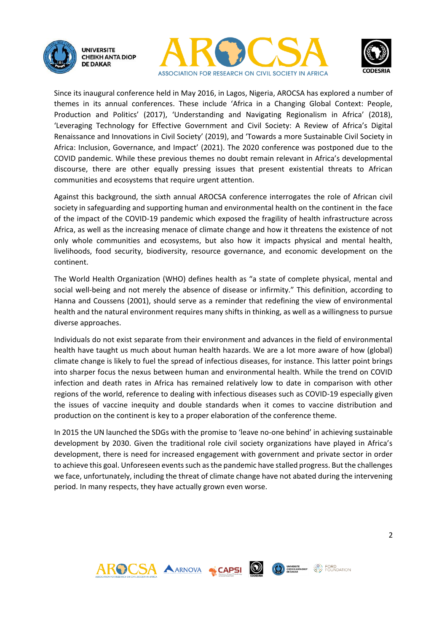





Since its inaugural conference held in May 2016, in Lagos, Nigeria, AROCSA has explored a number of themes in its annual conferences. These include 'Africa in a Changing Global Context: People, Production and Politics' (2017), 'Understanding and Navigating Regionalism in Africa' (2018), 'Leveraging Technology for Effective Government and Civil Society: A Review of Africa's Digital Renaissance and Innovations in Civil Society' (2019), and 'Towards a more Sustainable Civil Society in Africa: Inclusion, Governance, and Impact' (2021). The 2020 conference was postponed due to the COVID pandemic. While these previous themes no doubt remain relevant in Africa's developmental discourse, there are other equally pressing issues that present existential threats to African communities and ecosystems that require urgent attention.

Against this background, the sixth annual AROCSA conference interrogates the role of African civil society in safeguarding and supporting human and environmental health on the continent in the face of the impact of the COVID-19 pandemic which exposed the fragility of health infrastructure across Africa, as well as the increasing menace of climate change and how it threatens the existence of not only whole communities and ecosystems, but also how it impacts physical and mental health, livelihoods, food security, biodiversity, resource governance, and economic development on the continent.

The World Health Organization (WHO) defines health as "a state of complete physical, mental and social well-being and not merely the absence of disease or infirmity." This definition, according to Hanna and Coussens (2001), should serve as a reminder that redefining the view of environmental health and the natural environment requires many shifts in thinking, as well as a willingness to pursue diverse approaches.

Individuals do not exist separate from their environment and advances in the field of environmental health have taught us much about human health hazards. We are a lot more aware of how (global) climate change is likely to fuel the spread of infectious diseases, for instance. This latter point brings into sharper focus the nexus between human and environmental health. While the trend on COVID infection and death rates in Africa has remained relatively low to date in comparison with other regions of the world, reference to dealing with infectious diseases such as COVID-19 especially given the issues of vaccine inequity and double standards when it comes to vaccine distribution and production on the continent is key to a proper elaboration of the conference theme.

In 2015 the UN launched the SDGs with the promise to 'leave no-one behind' in achieving sustainable development by 2030. Given the traditional role civil society organizations have played in Africa's development, there is need for increased engagement with government and private sector in order to achieve this goal. Unforeseen events such as the pandemic have stalled progress. But the challenges we face, unfortunately, including the threat of climate change have not abated during the intervening period. In many respects, they have actually grown even worse.



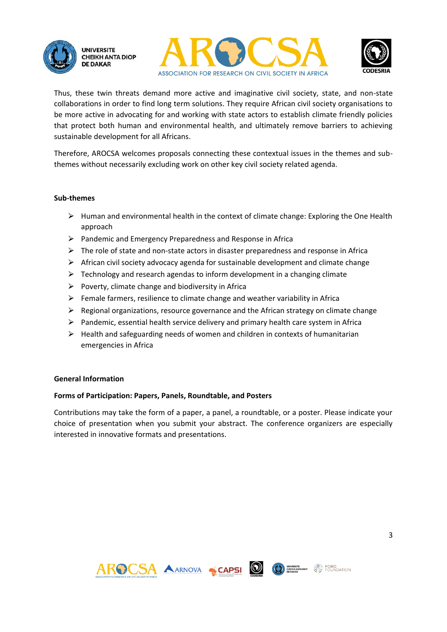





Thus, these twin threats demand more active and imaginative civil society, state, and non-state collaborations in order to find long term solutions. They require African civil society organisations to be more active in advocating for and working with state actors to establish climate friendly policies that protect both human and environmental health, and ultimately remove barriers to achieving sustainable development for all Africans.

Therefore, AROCSA welcomes proposals connecting these contextual issues in the themes and subthemes without necessarily excluding work on other key civil society related agenda.

#### **Sub-themes**

- $\triangleright$  Human and environmental health in the context of climate change: Exploring the One Health approach
- $\triangleright$  Pandemic and Emergency Preparedness and Response in Africa
- $\triangleright$  The role of state and non-state actors in disaster preparedness and response in Africa
- $\triangleright$  African civil society advocacy agenda for sustainable development and climate change
- $\triangleright$  Technology and research agendas to inform development in a changing climate
- $\triangleright$  Poverty, climate change and biodiversity in Africa
- $\triangleright$  Female farmers, resilience to climate change and weather variability in Africa
- $\triangleright$  Regional organizations, resource governance and the African strategy on climate change
- $\triangleright$  Pandemic, essential health service delivery and primary health care system in Africa
- $\triangleright$  Health and safeguarding needs of women and children in contexts of humanitarian emergencies in Africa

#### **General Information**

#### **Forms of Participation: Papers, Panels, Roundtable, and Posters**

Contributions may take the form of a paper, a panel, a roundtable, or a poster. Please indicate your choice of presentation when you submit your abstract. The conference organizers are especially interested in innovative formats and presentations.





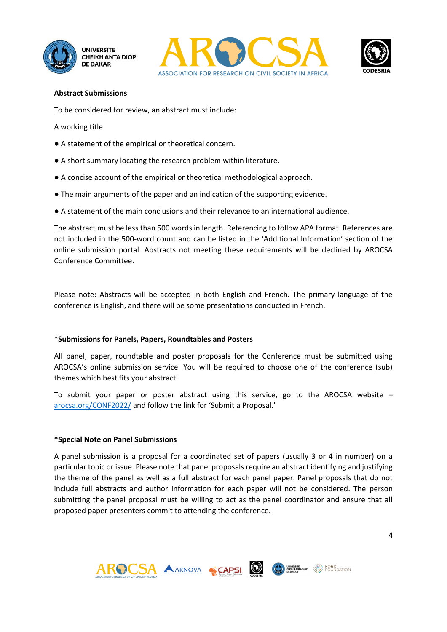





#### **Abstract Submissions**

To be considered for review, an abstract must include:

A working title.

- A statement of the empirical or theoretical concern.
- A short summary locating the research problem within literature.
- A concise account of the empirical or theoretical methodological approach.
- The main arguments of the paper and an indication of the supporting evidence.
- A statement of the main conclusions and their relevance to an international audience.

The abstract must be less than 500 words in length. Referencing to follow APA format. References are not included in the 500‐word count and can be listed in the 'Additional Information' section of the online submission portal. Abstracts not meeting these requirements will be declined by AROCSA Conference Committee.

Please note: Abstracts will be accepted in both English and French. The primary language of the conference is English, and there will be some presentations conducted in French.

## **\*Submissions for Panels, Papers, Roundtables and Posters**

All panel, paper, roundtable and poster proposals for the Conference must be submitted using AROCSA's online submission service. You will be required to choose one of the conference (sub) themes which best fits your abstract.

To submit your paper or poster abstract using this service, go to the AROCSA website  $$ [arocsa.org/CONF2022/](https://arocsa.org/conf2022/) and follow the link for 'Submit a Proposal.'

## **\*Special Note on Panel Submissions**

A panel submission is a proposal for a coordinated set of papers (usually 3 or 4 in number) on a particular topic or issue. Please note that panel proposals require an abstract identifying and justifying the theme of the panel as well as a full abstract for each panel paper. Panel proposals that do not include full abstracts and author information for each paper will not be considered. The person submitting the panel proposal must be willing to act as the panel coordinator and ensure that all proposed paper presenters commit to attending the conference.



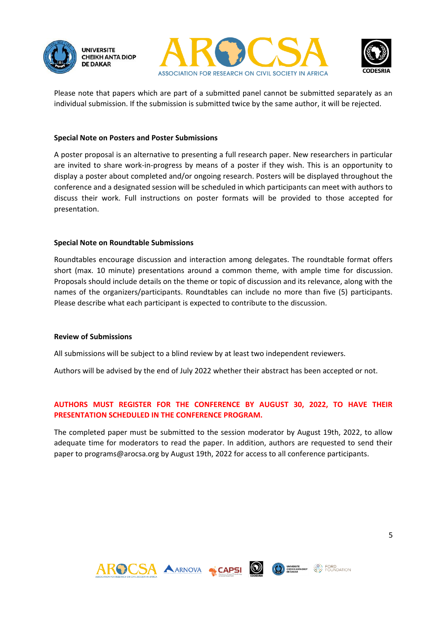





Please note that papers which are part of a submitted panel cannot be submitted separately as an individual submission. If the submission is submitted twice by the same author, it will be rejected.

#### **Special Note on Posters and Poster Submissions**

A poster proposal is an alternative to presenting a full research paper. New researchers in particular are invited to share work-in-progress by means of a poster if they wish. This is an opportunity to display a poster about completed and/or ongoing research. Posters will be displayed throughout the conference and a designated session will be scheduled in which participants can meet with authors to discuss their work. Full instructions on poster formats will be provided to those accepted for presentation.

#### **Special Note on Roundtable Submissions**

Roundtables encourage discussion and interaction among delegates. The roundtable format offers short (max. 10 minute) presentations around a common theme, with ample time for discussion. Proposals should include details on the theme or topic of discussion and its relevance, along with the names of the organizers/participants. Roundtables can include no more than five (5) participants. Please describe what each participant is expected to contribute to the discussion.

#### **Review of Submissions**

All submissions will be subject to a blind review by at least two independent reviewers.

Authors will be advised by the end of July 2022 whether their abstract has been accepted or not.

## **AUTHORS MUST REGISTER FOR THE CONFERENCE BY AUGUST 30, 2022, TO HAVE THEIR PRESENTATION SCHEDULED IN THE CONFERENCE PROGRAM.**

The completed paper must be submitted to the session moderator by August 19th, 2022, to allow adequate time for moderators to read the paper. In addition, authors are requested to send their paper to programs@arocsa.org by August 19th, 2022 for access to all conference participants.